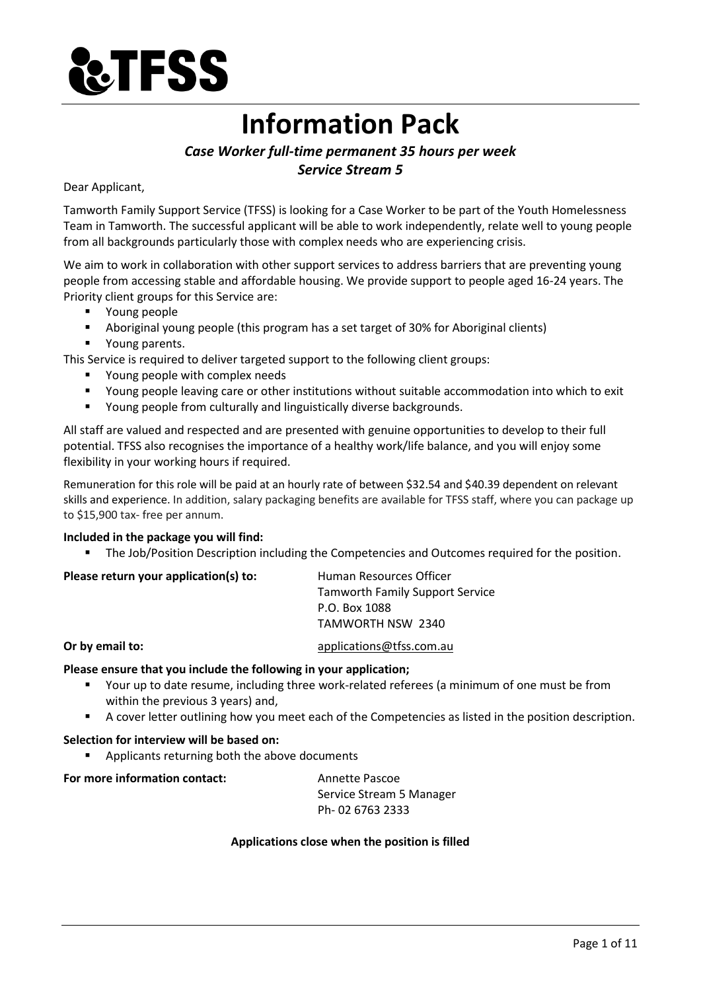

# **Information Pack**

# *Case Worker full-time permanent 35 hours per week Service Stream 5*

# Dear Applicant,

Tamworth Family Support Service (TFSS) is looking for a Case Worker to be part of the Youth Homelessness Team in Tamworth. The successful applicant will be able to work independently, relate well to young people from all backgrounds particularly those with complex needs who are experiencing crisis.

We aim to work in collaboration with other support services to address barriers that are preventing young people from accessing stable and affordable housing. We provide support to people aged 16-24 years. The Priority client groups for this Service are:

- Young people
- Aboriginal young people (this program has a set target of 30% for Aboriginal clients)
- Young parents.

This Service is required to deliver targeted support to the following client groups:

- Young people with complex needs
- Young people leaving care or other institutions without suitable accommodation into which to exit
- Young people from culturally and linguistically diverse backgrounds.

All staff are valued and respected and are presented with genuine opportunities to develop to their full potential. TFSS also recognises the importance of a healthy work/life balance, and you will enjoy some flexibility in your working hours if required.

Remuneration for this role will be paid at an hourly rate of between \$32.54 and \$40.39 dependent on relevant skills and experience. In addition, salary packaging benefits are available for TFSS staff, where you can package up to \$15,900 tax- free per annum.

# **Included in the package you will find:**

The Job/Position Description including the Competencies and Outcomes required for the position.

| Please return your application(s) to: | Human Resources Officer                |
|---------------------------------------|----------------------------------------|
|                                       | <b>Tamworth Family Support Service</b> |
|                                       | P.O. Box 1088                          |
|                                       | TAMWORTH NSW 2340                      |
|                                       |                                        |

# **Or by email to:** [applications@tfss.com.au](mailto:applications@tfss.com.au)

# **Please ensure that you include the following in your application;**

- Your up to date resume, including three work-related referees (a minimum of one must be from within the previous 3 years) and,
- A cover letter outlining how you meet each of the Competencies as listed in the position description.

# **Selection for interview will be based on:**

■ Applicants returning both the above documents

**For more information contact:** Annette Pascoe

Service Stream 5 Manager Ph- 02 6763 2333

# **Applications close when the position is filled**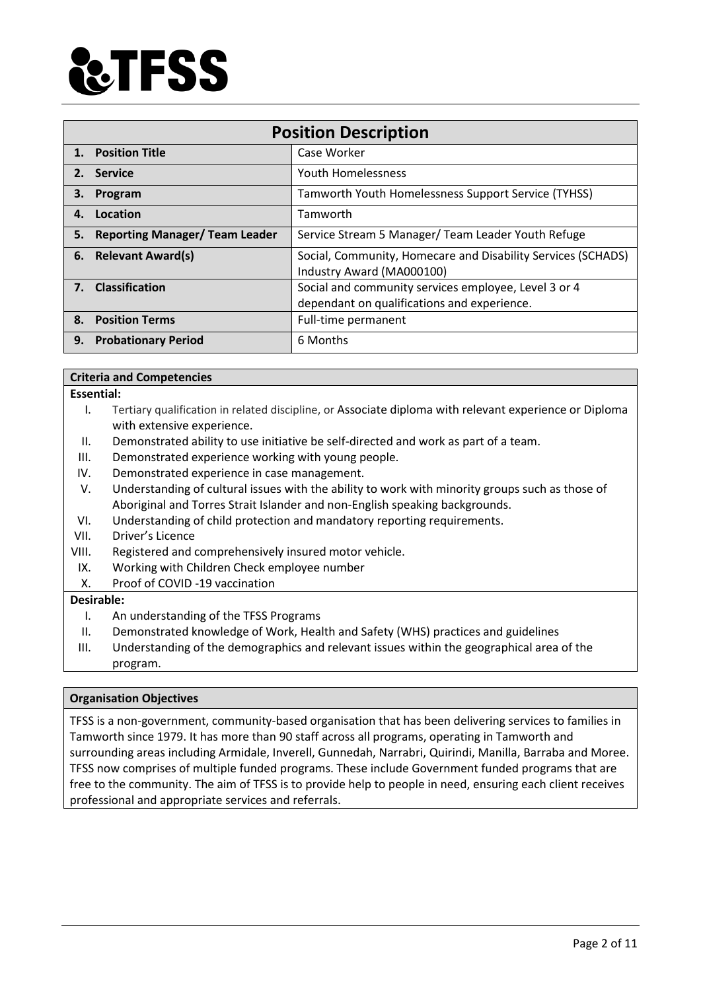

| <b>Position Description</b>                 |                                                                                                     |  |
|---------------------------------------------|-----------------------------------------------------------------------------------------------------|--|
| <b>Position Title</b><br>$\mathbf{1}$ .     | Case Worker                                                                                         |  |
| 2. Service                                  | <b>Youth Homelessness</b>                                                                           |  |
| Program<br>З.                               | Tamworth Youth Homelessness Support Service (TYHSS)                                                 |  |
| Location<br>4.                              | Tamworth                                                                                            |  |
| <b>Reporting Manager/ Team Leader</b><br>5. | Service Stream 5 Manager/ Team Leader Youth Refuge                                                  |  |
| <b>Relevant Award(s)</b><br>6.              | Social, Community, Homecare and Disability Services (SCHADS)<br>Industry Award (MA000100)           |  |
| <b>Classification</b><br>7.                 | Social and community services employee, Level 3 or 4<br>dependant on qualifications and experience. |  |
| <b>Position Terms</b><br>8.                 | Full-time permanent                                                                                 |  |
| <b>Probationary Period</b><br>9.            | 6 Months                                                                                            |  |

# **Criteria and Competencies**

#### **Essential:**

- I. Tertiary qualification in related discipline, or Associate diploma with relevant experience or Diploma with extensive experience.
- II. Demonstrated ability to use initiative be self-directed and work as part of a team.
- III. Demonstrated experience working with young people.
- IV. Demonstrated experience in case management.
- V. Understanding of cultural issues with the ability to work with minority groups such as those of Aboriginal and Torres Strait Islander and non-English speaking backgrounds.
- VI. Understanding of child protection and mandatory reporting requirements.
- VII. Driver's Licence
- VIII. Registered and comprehensively insured motor vehicle.
- IX. Working with Children Check employee number
- X. Proof of COVID -19 vaccination

#### **Desirable:**

- I. An understanding of the TFSS Programs
- II. Demonstrated knowledge of Work, Health and Safety (WHS) practices and guidelines
- III. Understanding of the demographics and relevant issues within the geographical area of the program.

# **Organisation Objectives**

TFSS is a non-government, community-based organisation that has been delivering services to families in Tamworth since 1979. It has more than 90 staff across all programs, operating in Tamworth and surrounding areas including Armidale, Inverell, Gunnedah, Narrabri, Quirindi, Manilla, Barraba and Moree. TFSS now comprises of multiple funded programs. These include Government funded programs that are free to the community. The aim of TFSS is to provide help to people in need, ensuring each client receives professional and appropriate services and referrals.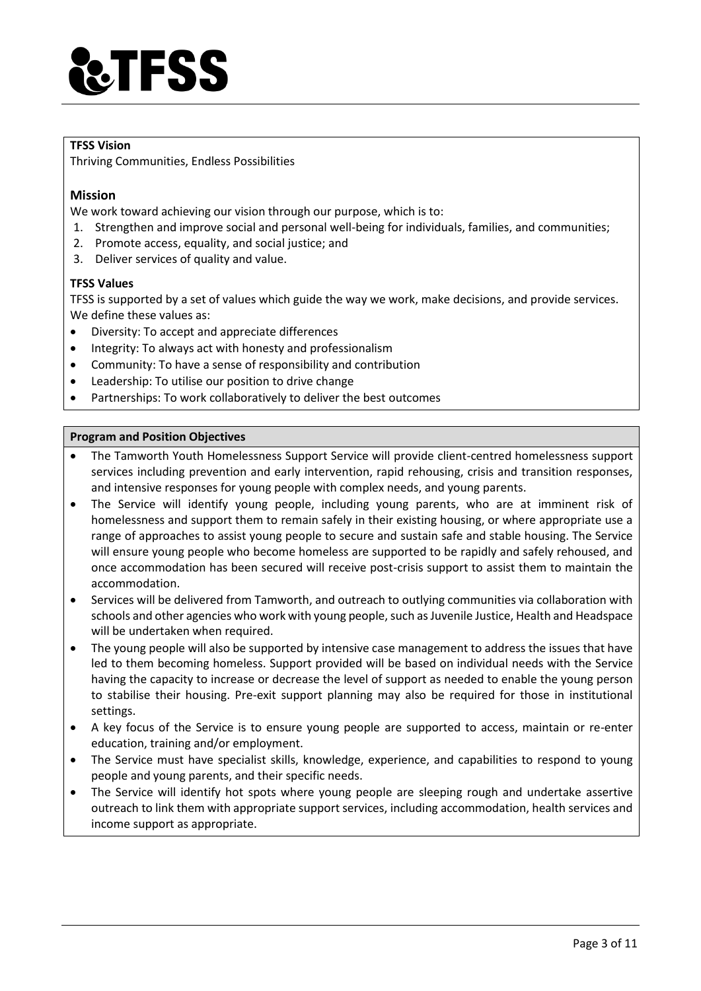

# **TFSS Vision**

Thriving Communities, Endless Possibilities

# **Mission**

We work toward achieving our vision through our purpose, which is to:

- 1. Strengthen and improve social and personal well-being for individuals, families, and communities;
- 2. Promote access, equality, and social justice; and
- 3. Deliver services of quality and value.

#### **TFSS Values**

TFSS is supported by a set of values which guide the way we work, make decisions, and provide services. We define these values as:

- Diversity: To accept and appreciate differences
- Integrity: To always act with honesty and professionalism
- Community: To have a sense of responsibility and contribution
- Leadership: To utilise our position to drive change
- Partnerships: To work collaboratively to deliver the best outcomes

#### **Program and Position Objectives**

- The Tamworth Youth Homelessness Support Service will provide client-centred homelessness support services including prevention and early intervention, rapid rehousing, crisis and transition responses, and intensive responses for young people with complex needs, and young parents.
- The Service will identify young people, including young parents, who are at imminent risk of homelessness and support them to remain safely in their existing housing, or where appropriate use a range of approaches to assist young people to secure and sustain safe and stable housing. The Service will ensure young people who become homeless are supported to be rapidly and safely rehoused, and once accommodation has been secured will receive post-crisis support to assist them to maintain the accommodation.
- Services will be delivered from Tamworth, and outreach to outlying communities via collaboration with schools and other agencies who work with young people, such as Juvenile Justice, Health and Headspace will be undertaken when required.
- The young people will also be supported by intensive case management to address the issues that have led to them becoming homeless. Support provided will be based on individual needs with the Service having the capacity to increase or decrease the level of support as needed to enable the young person to stabilise their housing. Pre-exit support planning may also be required for those in institutional settings.
- A key focus of the Service is to ensure young people are supported to access, maintain or re-enter education, training and/or employment.
- The Service must have specialist skills, knowledge, experience, and capabilities to respond to young people and young parents, and their specific needs.
- The Service will identify hot spots where young people are sleeping rough and undertake assertive outreach to link them with appropriate support services, including accommodation, health services and income support as appropriate.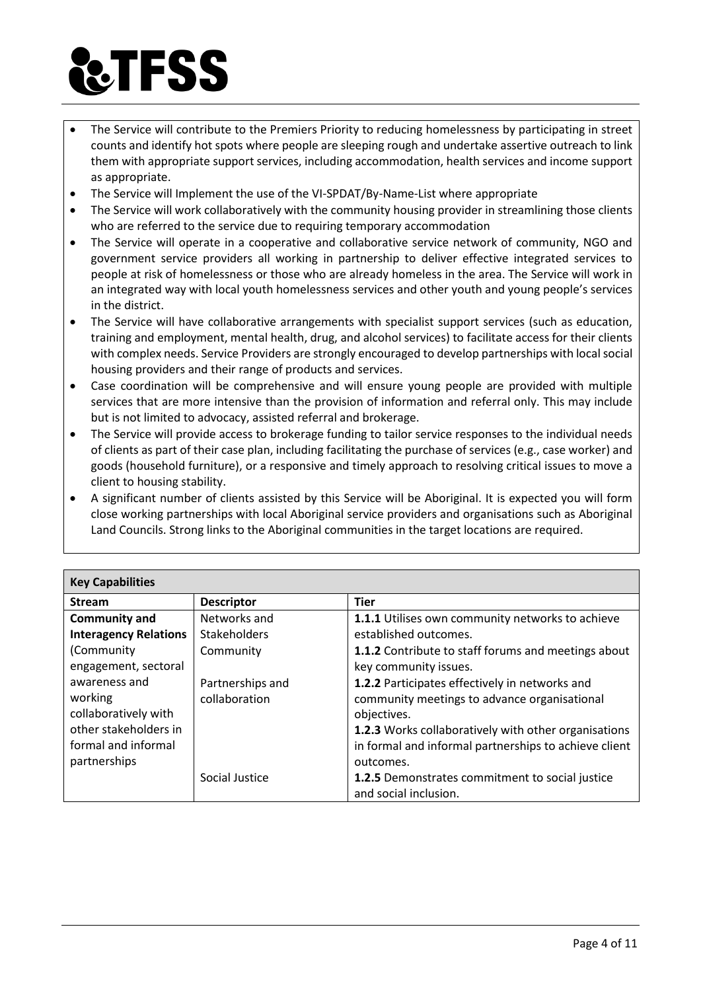# **TFSS**

- The Service will contribute to the Premiers Priority to reducing homelessness by participating in street counts and identify hot spots where people are sleeping rough and undertake assertive outreach to link them with appropriate support services, including accommodation, health services and income support as appropriate.
- The Service will Implement the use of the VI-SPDAT/By-Name-List where appropriate
- The Service will work collaboratively with the community housing provider in streamlining those clients who are referred to the service due to requiring temporary accommodation
- The Service will operate in a cooperative and collaborative service network of community, NGO and government service providers all working in partnership to deliver effective integrated services to people at risk of homelessness or those who are already homeless in the area. The Service will work in an integrated way with local youth homelessness services and other youth and young people's services in the district.
- The Service will have collaborative arrangements with specialist support services (such as education, training and employment, mental health, drug, and alcohol services) to facilitate access for their clients with complex needs. Service Providers are strongly encouraged to develop partnerships with local social housing providers and their range of products and services.
- Case coordination will be comprehensive and will ensure young people are provided with multiple services that are more intensive than the provision of information and referral only. This may include but is not limited to advocacy, assisted referral and brokerage.
- The Service will provide access to brokerage funding to tailor service responses to the individual needs of clients as part of their case plan, including facilitating the purchase of services (e.g., case worker) and goods (household furniture), or a responsive and timely approach to resolving critical issues to move a client to housing stability.
- A significant number of clients assisted by this Service will be Aboriginal. It is expected you will form close working partnerships with local Aboriginal service providers and organisations such as Aboriginal Land Councils. Strong links to the Aboriginal communities in the target locations are required.

| <b>Key Capabilities</b>      |                     |                                                       |  |
|------------------------------|---------------------|-------------------------------------------------------|--|
| <b>Stream</b>                | <b>Descriptor</b>   | <b>Tier</b>                                           |  |
| <b>Community and</b>         | Networks and        | 1.1.1 Utilises own community networks to achieve      |  |
| <b>Interagency Relations</b> | <b>Stakeholders</b> | established outcomes.                                 |  |
| (Community                   | Community           | 1.1.2 Contribute to staff forums and meetings about   |  |
| engagement, sectoral         |                     | key community issues.                                 |  |
| awareness and                | Partnerships and    | 1.2.2 Participates effectively in networks and        |  |
| working                      | collaboration       | community meetings to advance organisational          |  |
| collaboratively with         |                     | objectives.                                           |  |
| other stakeholders in        |                     | 1.2.3 Works collaboratively with other organisations  |  |
| formal and informal          |                     | in formal and informal partnerships to achieve client |  |
| partnerships                 |                     | outcomes.                                             |  |
|                              | Social Justice      | 1.2.5 Demonstrates commitment to social justice       |  |
|                              |                     | and social inclusion.                                 |  |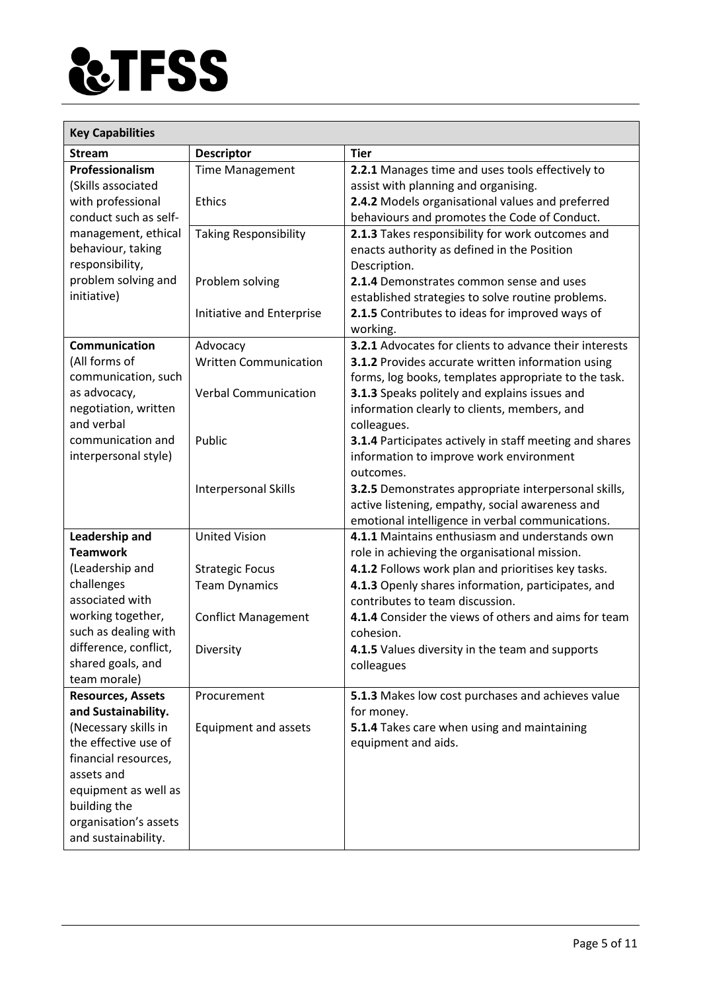

| <b>Key Capabilities</b>           |                              |                                                                                                    |  |
|-----------------------------------|------------------------------|----------------------------------------------------------------------------------------------------|--|
| <b>Stream</b>                     | <b>Descriptor</b>            | <b>Tier</b>                                                                                        |  |
| Professionalism                   | <b>Time Management</b>       | 2.2.1 Manages time and uses tools effectively to                                                   |  |
| (Skills associated                |                              | assist with planning and organising.                                                               |  |
| with professional                 | <b>Ethics</b>                | 2.4.2 Models organisational values and preferred                                                   |  |
| conduct such as self-             |                              | behaviours and promotes the Code of Conduct.                                                       |  |
| management, ethical               | <b>Taking Responsibility</b> | 2.1.3 Takes responsibility for work outcomes and                                                   |  |
| behaviour, taking                 |                              | enacts authority as defined in the Position                                                        |  |
| responsibility,                   |                              | Description.                                                                                       |  |
| problem solving and               | Problem solving              | 2.1.4 Demonstrates common sense and uses                                                           |  |
| initiative)                       |                              | established strategies to solve routine problems.                                                  |  |
|                                   | Initiative and Enterprise    | 2.1.5 Contributes to ideas for improved ways of                                                    |  |
|                                   |                              | working.                                                                                           |  |
| Communication                     | Advocacy                     | 3.2.1 Advocates for clients to advance their interests                                             |  |
| (All forms of                     | <b>Written Communication</b> | 3.1.2 Provides accurate written information using                                                  |  |
| communication, such               |                              | forms, log books, templates appropriate to the task.                                               |  |
| as advocacy,                      | <b>Verbal Communication</b>  | 3.1.3 Speaks politely and explains issues and                                                      |  |
| negotiation, written              |                              | information clearly to clients, members, and                                                       |  |
| and verbal                        |                              | colleagues.                                                                                        |  |
| communication and                 | Public                       | 3.1.4 Participates actively in staff meeting and shares                                            |  |
| interpersonal style)              |                              | information to improve work environment                                                            |  |
|                                   |                              | outcomes.                                                                                          |  |
|                                   | Interpersonal Skills         | 3.2.5 Demonstrates appropriate interpersonal skills,                                               |  |
|                                   |                              | active listening, empathy, social awareness and                                                    |  |
|                                   | <b>United Vision</b>         | emotional intelligence in verbal communications.<br>4.1.1 Maintains enthusiasm and understands own |  |
| Leadership and<br><b>Teamwork</b> |                              | role in achieving the organisational mission.                                                      |  |
| (Leadership and                   | <b>Strategic Focus</b>       | 4.1.2 Follows work plan and prioritises key tasks.                                                 |  |
| challenges                        | <b>Team Dynamics</b>         | 4.1.3 Openly shares information, participates, and                                                 |  |
| associated with                   |                              | contributes to team discussion.                                                                    |  |
| working together,                 | <b>Conflict Management</b>   | 4.1.4 Consider the views of others and aims for team                                               |  |
| such as dealing with              |                              | cohesion.                                                                                          |  |
| difference, conflict,             | Diversity                    | 4.1.5 Values diversity in the team and supports                                                    |  |
| shared goals, and                 |                              | colleagues                                                                                         |  |
| team morale)                      |                              |                                                                                                    |  |
| <b>Resources, Assets</b>          | Procurement                  | 5.1.3 Makes low cost purchases and achieves value                                                  |  |
| and Sustainability.               |                              | for money.                                                                                         |  |
| (Necessary skills in              | Equipment and assets         | 5.1.4 Takes care when using and maintaining                                                        |  |
| the effective use of              |                              | equipment and aids.                                                                                |  |
| financial resources,              |                              |                                                                                                    |  |
| assets and                        |                              |                                                                                                    |  |
| equipment as well as              |                              |                                                                                                    |  |
| building the                      |                              |                                                                                                    |  |
| organisation's assets             |                              |                                                                                                    |  |
| and sustainability.               |                              |                                                                                                    |  |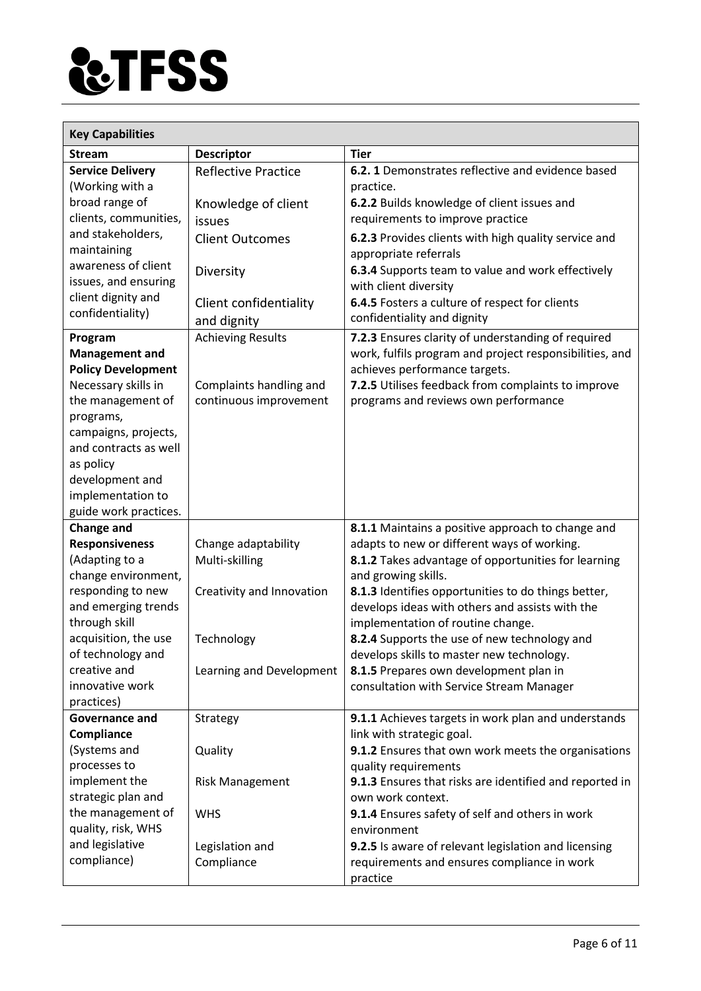

| <b>Descriptor</b><br><b>Tier</b><br><b>Stream</b><br>6.2.1 Demonstrates reflective and evidence based<br><b>Service Delivery</b><br><b>Reflective Practice</b><br>(Working with a<br>practice.<br>broad range of<br>6.2.2 Builds knowledge of client issues and<br>Knowledge of client<br>clients, communities,<br>requirements to improve practice<br>issues<br>and stakeholders,<br>6.2.3 Provides clients with high quality service and<br><b>Client Outcomes</b><br>maintaining<br>appropriate referrals<br>awareness of client<br>6.3.4 Supports team to value and work effectively<br>Diversity<br>issues, and ensuring<br>with client diversity<br>client dignity and<br>6.4.5 Fosters a culture of respect for clients<br>Client confidentiality<br>confidentiality)<br>confidentiality and dignity<br>and dignity<br><b>Achieving Results</b><br>7.2.3 Ensures clarity of understanding of required<br>Program<br>work, fulfils program and project responsibilities, and<br><b>Management and</b><br>achieves performance targets.<br><b>Policy Development</b><br>7.2.5 Utilises feedback from complaints to improve<br>Necessary skills in<br>Complaints handling and<br>the management of<br>continuous improvement<br>programs and reviews own performance<br>programs,<br>campaigns, projects,<br>and contracts as well<br>as policy<br>development and<br>implementation to<br>guide work practices.<br><b>Change and</b><br>8.1.1 Maintains a positive approach to change and |
|------------------------------------------------------------------------------------------------------------------------------------------------------------------------------------------------------------------------------------------------------------------------------------------------------------------------------------------------------------------------------------------------------------------------------------------------------------------------------------------------------------------------------------------------------------------------------------------------------------------------------------------------------------------------------------------------------------------------------------------------------------------------------------------------------------------------------------------------------------------------------------------------------------------------------------------------------------------------------------------------------------------------------------------------------------------------------------------------------------------------------------------------------------------------------------------------------------------------------------------------------------------------------------------------------------------------------------------------------------------------------------------------------------------------------------------------------------------------------------------------|
|                                                                                                                                                                                                                                                                                                                                                                                                                                                                                                                                                                                                                                                                                                                                                                                                                                                                                                                                                                                                                                                                                                                                                                                                                                                                                                                                                                                                                                                                                                |
|                                                                                                                                                                                                                                                                                                                                                                                                                                                                                                                                                                                                                                                                                                                                                                                                                                                                                                                                                                                                                                                                                                                                                                                                                                                                                                                                                                                                                                                                                                |
|                                                                                                                                                                                                                                                                                                                                                                                                                                                                                                                                                                                                                                                                                                                                                                                                                                                                                                                                                                                                                                                                                                                                                                                                                                                                                                                                                                                                                                                                                                |
|                                                                                                                                                                                                                                                                                                                                                                                                                                                                                                                                                                                                                                                                                                                                                                                                                                                                                                                                                                                                                                                                                                                                                                                                                                                                                                                                                                                                                                                                                                |
|                                                                                                                                                                                                                                                                                                                                                                                                                                                                                                                                                                                                                                                                                                                                                                                                                                                                                                                                                                                                                                                                                                                                                                                                                                                                                                                                                                                                                                                                                                |
|                                                                                                                                                                                                                                                                                                                                                                                                                                                                                                                                                                                                                                                                                                                                                                                                                                                                                                                                                                                                                                                                                                                                                                                                                                                                                                                                                                                                                                                                                                |
|                                                                                                                                                                                                                                                                                                                                                                                                                                                                                                                                                                                                                                                                                                                                                                                                                                                                                                                                                                                                                                                                                                                                                                                                                                                                                                                                                                                                                                                                                                |
|                                                                                                                                                                                                                                                                                                                                                                                                                                                                                                                                                                                                                                                                                                                                                                                                                                                                                                                                                                                                                                                                                                                                                                                                                                                                                                                                                                                                                                                                                                |
|                                                                                                                                                                                                                                                                                                                                                                                                                                                                                                                                                                                                                                                                                                                                                                                                                                                                                                                                                                                                                                                                                                                                                                                                                                                                                                                                                                                                                                                                                                |
|                                                                                                                                                                                                                                                                                                                                                                                                                                                                                                                                                                                                                                                                                                                                                                                                                                                                                                                                                                                                                                                                                                                                                                                                                                                                                                                                                                                                                                                                                                |
|                                                                                                                                                                                                                                                                                                                                                                                                                                                                                                                                                                                                                                                                                                                                                                                                                                                                                                                                                                                                                                                                                                                                                                                                                                                                                                                                                                                                                                                                                                |
|                                                                                                                                                                                                                                                                                                                                                                                                                                                                                                                                                                                                                                                                                                                                                                                                                                                                                                                                                                                                                                                                                                                                                                                                                                                                                                                                                                                                                                                                                                |
|                                                                                                                                                                                                                                                                                                                                                                                                                                                                                                                                                                                                                                                                                                                                                                                                                                                                                                                                                                                                                                                                                                                                                                                                                                                                                                                                                                                                                                                                                                |
|                                                                                                                                                                                                                                                                                                                                                                                                                                                                                                                                                                                                                                                                                                                                                                                                                                                                                                                                                                                                                                                                                                                                                                                                                                                                                                                                                                                                                                                                                                |
|                                                                                                                                                                                                                                                                                                                                                                                                                                                                                                                                                                                                                                                                                                                                                                                                                                                                                                                                                                                                                                                                                                                                                                                                                                                                                                                                                                                                                                                                                                |
|                                                                                                                                                                                                                                                                                                                                                                                                                                                                                                                                                                                                                                                                                                                                                                                                                                                                                                                                                                                                                                                                                                                                                                                                                                                                                                                                                                                                                                                                                                |
|                                                                                                                                                                                                                                                                                                                                                                                                                                                                                                                                                                                                                                                                                                                                                                                                                                                                                                                                                                                                                                                                                                                                                                                                                                                                                                                                                                                                                                                                                                |
|                                                                                                                                                                                                                                                                                                                                                                                                                                                                                                                                                                                                                                                                                                                                                                                                                                                                                                                                                                                                                                                                                                                                                                                                                                                                                                                                                                                                                                                                                                |
|                                                                                                                                                                                                                                                                                                                                                                                                                                                                                                                                                                                                                                                                                                                                                                                                                                                                                                                                                                                                                                                                                                                                                                                                                                                                                                                                                                                                                                                                                                |
|                                                                                                                                                                                                                                                                                                                                                                                                                                                                                                                                                                                                                                                                                                                                                                                                                                                                                                                                                                                                                                                                                                                                                                                                                                                                                                                                                                                                                                                                                                |
|                                                                                                                                                                                                                                                                                                                                                                                                                                                                                                                                                                                                                                                                                                                                                                                                                                                                                                                                                                                                                                                                                                                                                                                                                                                                                                                                                                                                                                                                                                |
|                                                                                                                                                                                                                                                                                                                                                                                                                                                                                                                                                                                                                                                                                                                                                                                                                                                                                                                                                                                                                                                                                                                                                                                                                                                                                                                                                                                                                                                                                                |
|                                                                                                                                                                                                                                                                                                                                                                                                                                                                                                                                                                                                                                                                                                                                                                                                                                                                                                                                                                                                                                                                                                                                                                                                                                                                                                                                                                                                                                                                                                |
|                                                                                                                                                                                                                                                                                                                                                                                                                                                                                                                                                                                                                                                                                                                                                                                                                                                                                                                                                                                                                                                                                                                                                                                                                                                                                                                                                                                                                                                                                                |
| <b>Responsiveness</b><br>adapts to new or different ways of working.<br>Change adaptability                                                                                                                                                                                                                                                                                                                                                                                                                                                                                                                                                                                                                                                                                                                                                                                                                                                                                                                                                                                                                                                                                                                                                                                                                                                                                                                                                                                                    |
| (Adapting to a<br>Multi-skilling<br>8.1.2 Takes advantage of opportunities for learning                                                                                                                                                                                                                                                                                                                                                                                                                                                                                                                                                                                                                                                                                                                                                                                                                                                                                                                                                                                                                                                                                                                                                                                                                                                                                                                                                                                                        |
| change environment,<br>and growing skills.                                                                                                                                                                                                                                                                                                                                                                                                                                                                                                                                                                                                                                                                                                                                                                                                                                                                                                                                                                                                                                                                                                                                                                                                                                                                                                                                                                                                                                                     |
| responding to new<br>Creativity and Innovation<br>8.1.3 Identifies opportunities to do things better,                                                                                                                                                                                                                                                                                                                                                                                                                                                                                                                                                                                                                                                                                                                                                                                                                                                                                                                                                                                                                                                                                                                                                                                                                                                                                                                                                                                          |
| and emerging trends<br>develops ideas with others and assists with the                                                                                                                                                                                                                                                                                                                                                                                                                                                                                                                                                                                                                                                                                                                                                                                                                                                                                                                                                                                                                                                                                                                                                                                                                                                                                                                                                                                                                         |
| through skill<br>implementation of routine change.                                                                                                                                                                                                                                                                                                                                                                                                                                                                                                                                                                                                                                                                                                                                                                                                                                                                                                                                                                                                                                                                                                                                                                                                                                                                                                                                                                                                                                             |
| acquisition, the use<br>8.2.4 Supports the use of new technology and<br>Technology                                                                                                                                                                                                                                                                                                                                                                                                                                                                                                                                                                                                                                                                                                                                                                                                                                                                                                                                                                                                                                                                                                                                                                                                                                                                                                                                                                                                             |
| of technology and<br>develops skills to master new technology.                                                                                                                                                                                                                                                                                                                                                                                                                                                                                                                                                                                                                                                                                                                                                                                                                                                                                                                                                                                                                                                                                                                                                                                                                                                                                                                                                                                                                                 |
| creative and<br>8.1.5 Prepares own development plan in<br>Learning and Development                                                                                                                                                                                                                                                                                                                                                                                                                                                                                                                                                                                                                                                                                                                                                                                                                                                                                                                                                                                                                                                                                                                                                                                                                                                                                                                                                                                                             |
| innovative work<br>consultation with Service Stream Manager                                                                                                                                                                                                                                                                                                                                                                                                                                                                                                                                                                                                                                                                                                                                                                                                                                                                                                                                                                                                                                                                                                                                                                                                                                                                                                                                                                                                                                    |
| practices)<br>9.1.1 Achieves targets in work plan and understands<br>Governance and<br>Strategy                                                                                                                                                                                                                                                                                                                                                                                                                                                                                                                                                                                                                                                                                                                                                                                                                                                                                                                                                                                                                                                                                                                                                                                                                                                                                                                                                                                                |
| link with strategic goal.<br>Compliance                                                                                                                                                                                                                                                                                                                                                                                                                                                                                                                                                                                                                                                                                                                                                                                                                                                                                                                                                                                                                                                                                                                                                                                                                                                                                                                                                                                                                                                        |
| (Systems and<br>9.1.2 Ensures that own work meets the organisations<br>Quality                                                                                                                                                                                                                                                                                                                                                                                                                                                                                                                                                                                                                                                                                                                                                                                                                                                                                                                                                                                                                                                                                                                                                                                                                                                                                                                                                                                                                 |
| processes to<br>quality requirements                                                                                                                                                                                                                                                                                                                                                                                                                                                                                                                                                                                                                                                                                                                                                                                                                                                                                                                                                                                                                                                                                                                                                                                                                                                                                                                                                                                                                                                           |
| implement the<br>9.1.3 Ensures that risks are identified and reported in<br><b>Risk Management</b>                                                                                                                                                                                                                                                                                                                                                                                                                                                                                                                                                                                                                                                                                                                                                                                                                                                                                                                                                                                                                                                                                                                                                                                                                                                                                                                                                                                             |
| strategic plan and<br>own work context.                                                                                                                                                                                                                                                                                                                                                                                                                                                                                                                                                                                                                                                                                                                                                                                                                                                                                                                                                                                                                                                                                                                                                                                                                                                                                                                                                                                                                                                        |
| the management of<br>9.1.4 Ensures safety of self and others in work<br><b>WHS</b>                                                                                                                                                                                                                                                                                                                                                                                                                                                                                                                                                                                                                                                                                                                                                                                                                                                                                                                                                                                                                                                                                                                                                                                                                                                                                                                                                                                                             |
| quality, risk, WHS<br>environment                                                                                                                                                                                                                                                                                                                                                                                                                                                                                                                                                                                                                                                                                                                                                                                                                                                                                                                                                                                                                                                                                                                                                                                                                                                                                                                                                                                                                                                              |
| and legislative<br>9.2.5 Is aware of relevant legislation and licensing<br>Legislation and                                                                                                                                                                                                                                                                                                                                                                                                                                                                                                                                                                                                                                                                                                                                                                                                                                                                                                                                                                                                                                                                                                                                                                                                                                                                                                                                                                                                     |
| compliance)<br>Compliance<br>requirements and ensures compliance in work                                                                                                                                                                                                                                                                                                                                                                                                                                                                                                                                                                                                                                                                                                                                                                                                                                                                                                                                                                                                                                                                                                                                                                                                                                                                                                                                                                                                                       |
| practice                                                                                                                                                                                                                                                                                                                                                                                                                                                                                                                                                                                                                                                                                                                                                                                                                                                                                                                                                                                                                                                                                                                                                                                                                                                                                                                                                                                                                                                                                       |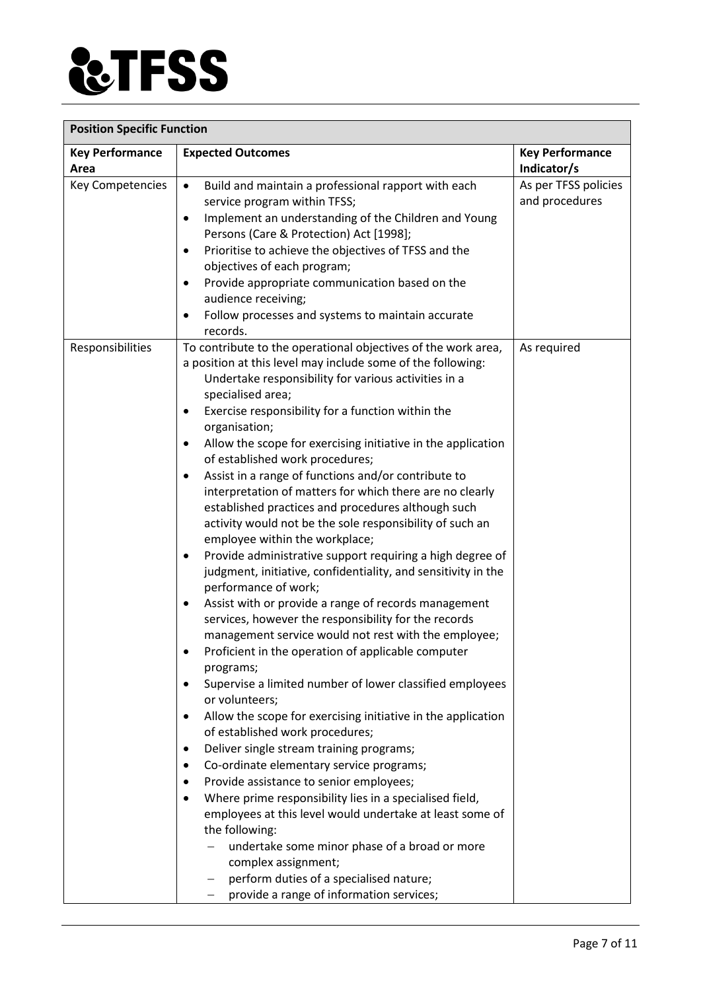

| <b>Position Specific Function</b> |                                                                                                                                                                                                                                                                                                                                                                                                                                                                                                                                                                                                                                                                                                                                                                                                                                                                                                                                                                                                                                                                                                                                                                                                                                                                                                                                                                                                                                                                                                                                                                                                                                                                                                                                                                                               |                                        |  |
|-----------------------------------|-----------------------------------------------------------------------------------------------------------------------------------------------------------------------------------------------------------------------------------------------------------------------------------------------------------------------------------------------------------------------------------------------------------------------------------------------------------------------------------------------------------------------------------------------------------------------------------------------------------------------------------------------------------------------------------------------------------------------------------------------------------------------------------------------------------------------------------------------------------------------------------------------------------------------------------------------------------------------------------------------------------------------------------------------------------------------------------------------------------------------------------------------------------------------------------------------------------------------------------------------------------------------------------------------------------------------------------------------------------------------------------------------------------------------------------------------------------------------------------------------------------------------------------------------------------------------------------------------------------------------------------------------------------------------------------------------------------------------------------------------------------------------------------------------|----------------------------------------|--|
| <b>Key Performance</b><br>Area    | <b>Expected Outcomes</b>                                                                                                                                                                                                                                                                                                                                                                                                                                                                                                                                                                                                                                                                                                                                                                                                                                                                                                                                                                                                                                                                                                                                                                                                                                                                                                                                                                                                                                                                                                                                                                                                                                                                                                                                                                      | <b>Key Performance</b><br>Indicator/s  |  |
| Key Competencies                  | Build and maintain a professional rapport with each<br>$\bullet$<br>service program within TFSS;<br>Implement an understanding of the Children and Young<br>$\bullet$<br>Persons (Care & Protection) Act [1998];<br>Prioritise to achieve the objectives of TFSS and the<br>$\bullet$<br>objectives of each program;<br>Provide appropriate communication based on the<br>$\bullet$<br>audience receiving;<br>Follow processes and systems to maintain accurate<br>٠<br>records.                                                                                                                                                                                                                                                                                                                                                                                                                                                                                                                                                                                                                                                                                                                                                                                                                                                                                                                                                                                                                                                                                                                                                                                                                                                                                                              | As per TFSS policies<br>and procedures |  |
| Responsibilities                  | To contribute to the operational objectives of the work area,<br>a position at this level may include some of the following:<br>Undertake responsibility for various activities in a<br>specialised area;<br>Exercise responsibility for a function within the<br>$\bullet$<br>organisation;<br>Allow the scope for exercising initiative in the application<br>٠<br>of established work procedures;<br>Assist in a range of functions and/or contribute to<br>٠<br>interpretation of matters for which there are no clearly<br>established practices and procedures although such<br>activity would not be the sole responsibility of such an<br>employee within the workplace;<br>Provide administrative support requiring a high degree of<br>٠<br>judgment, initiative, confidentiality, and sensitivity in the<br>performance of work;<br>Assist with or provide a range of records management<br>٠<br>services, however the responsibility for the records<br>management service would not rest with the employee;<br>Proficient in the operation of applicable computer<br>programs;<br>Supervise a limited number of lower classified employees<br>$\bullet$<br>or volunteers;<br>Allow the scope for exercising initiative in the application<br>$\bullet$<br>of established work procedures;<br>Deliver single stream training programs;<br>$\bullet$<br>Co-ordinate elementary service programs;<br>$\bullet$<br>Provide assistance to senior employees;<br>٠<br>Where prime responsibility lies in a specialised field,<br>$\bullet$<br>employees at this level would undertake at least some of<br>the following:<br>undertake some minor phase of a broad or more<br>complex assignment;<br>perform duties of a specialised nature;<br>provide a range of information services; | As required                            |  |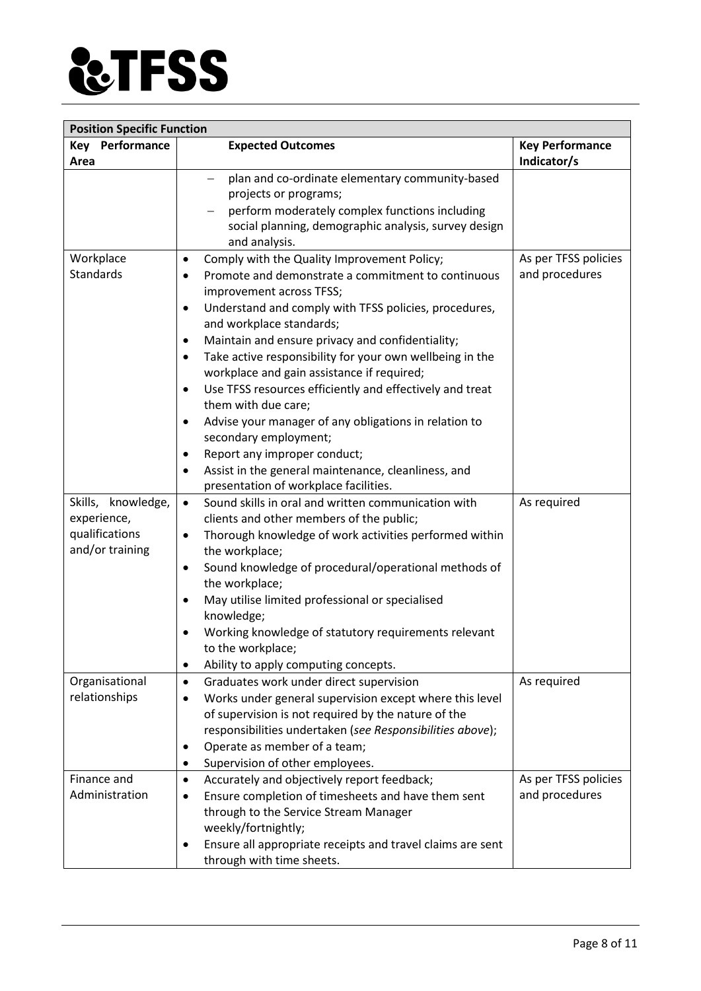

| <b>Position Specific Function</b> |                                                                                     |                                       |
|-----------------------------------|-------------------------------------------------------------------------------------|---------------------------------------|
| <b>Key Performance</b><br>Area    | <b>Expected Outcomes</b>                                                            | <b>Key Performance</b><br>Indicator/s |
|                                   | plan and co-ordinate elementary community-based<br>$\qquad \qquad -$                |                                       |
|                                   | projects or programs;                                                               |                                       |
|                                   | perform moderately complex functions including                                      |                                       |
|                                   | social planning, demographic analysis, survey design                                |                                       |
|                                   | and analysis.                                                                       |                                       |
| Workplace                         | Comply with the Quality Improvement Policy;<br>$\bullet$                            | As per TFSS policies                  |
| <b>Standards</b>                  | Promote and demonstrate a commitment to continuous<br>٠                             | and procedures                        |
|                                   | improvement across TFSS;                                                            |                                       |
|                                   | Understand and comply with TFSS policies, procedures,<br>$\bullet$                  |                                       |
|                                   | and workplace standards;                                                            |                                       |
|                                   | Maintain and ensure privacy and confidentiality;<br>$\bullet$                       |                                       |
|                                   | Take active responsibility for your own wellbeing in the<br>$\bullet$               |                                       |
|                                   | workplace and gain assistance if required;                                          |                                       |
|                                   | Use TFSS resources efficiently and effectively and treat<br>$\bullet$               |                                       |
|                                   | them with due care;                                                                 |                                       |
|                                   | Advise your manager of any obligations in relation to<br>$\bullet$                  |                                       |
|                                   | secondary employment;                                                               |                                       |
|                                   | Report any improper conduct;<br>$\bullet$                                           |                                       |
|                                   | Assist in the general maintenance, cleanliness, and<br>٠                            |                                       |
|                                   | presentation of workplace facilities.                                               |                                       |
| Skills, knowledge,                | Sound skills in oral and written communication with<br>$\bullet$                    | As required                           |
| experience,                       | clients and other members of the public;                                            |                                       |
| qualifications<br>and/or training | Thorough knowledge of work activities performed within<br>$\bullet$                 |                                       |
|                                   | the workplace;                                                                      |                                       |
|                                   | Sound knowledge of procedural/operational methods of<br>$\bullet$<br>the workplace; |                                       |
|                                   | May utilise limited professional or specialised<br>$\bullet$                        |                                       |
|                                   | knowledge;                                                                          |                                       |
|                                   | Working knowledge of statutory requirements relevant<br>٠                           |                                       |
|                                   | to the workplace;                                                                   |                                       |
|                                   | Ability to apply computing concepts.<br>$\bullet$                                   |                                       |
| Organisational                    | Graduates work under direct supervision<br>$\bullet$                                | As required                           |
| relationships                     | Works under general supervision except where this level                             |                                       |
|                                   | of supervision is not required by the nature of the                                 |                                       |
|                                   | responsibilities undertaken (see Responsibilities above);                           |                                       |
|                                   | Operate as member of a team;<br>٠                                                   |                                       |
|                                   | Supervision of other employees.<br>٠                                                |                                       |
| Finance and                       | Accurately and objectively report feedback;<br>$\bullet$                            | As per TFSS policies                  |
| Administration                    | Ensure completion of timesheets and have them sent                                  | and procedures                        |
|                                   | through to the Service Stream Manager                                               |                                       |
|                                   | weekly/fortnightly;                                                                 |                                       |
|                                   | Ensure all appropriate receipts and travel claims are sent<br>٠                     |                                       |
|                                   | through with time sheets.                                                           |                                       |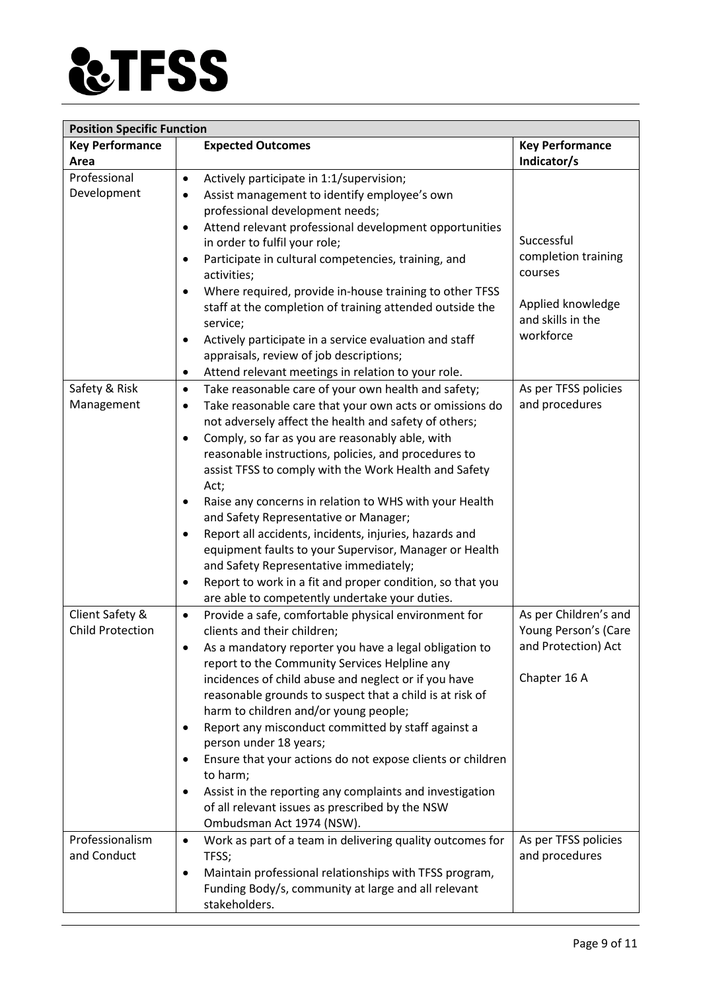

| <b>Position Specific Function</b> |                                                                                                                            |                                |  |
|-----------------------------------|----------------------------------------------------------------------------------------------------------------------------|--------------------------------|--|
| <b>Key Performance</b>            | <b>Expected Outcomes</b>                                                                                                   | <b>Key Performance</b>         |  |
| Area                              |                                                                                                                            | Indicator/s                    |  |
| Professional                      | Actively participate in 1:1/supervision;<br>$\bullet$                                                                      |                                |  |
| Development                       | Assist management to identify employee's own<br>$\bullet$                                                                  |                                |  |
|                                   | professional development needs;                                                                                            |                                |  |
|                                   | Attend relevant professional development opportunities<br>$\bullet$                                                        |                                |  |
|                                   | in order to fulfil your role;                                                                                              | Successful                     |  |
|                                   | Participate in cultural competencies, training, and<br>٠<br>activities;                                                    | completion training<br>courses |  |
|                                   | Where required, provide in-house training to other TFSS<br>$\bullet$                                                       |                                |  |
|                                   | staff at the completion of training attended outside the                                                                   | Applied knowledge              |  |
|                                   | service;                                                                                                                   | and skills in the              |  |
|                                   | Actively participate in a service evaluation and staff<br>$\bullet$                                                        | workforce                      |  |
|                                   | appraisals, review of job descriptions;                                                                                    |                                |  |
|                                   | Attend relevant meetings in relation to your role.<br>$\bullet$                                                            |                                |  |
| Safety & Risk                     | Take reasonable care of your own health and safety;<br>$\bullet$                                                           | As per TFSS policies           |  |
| Management                        | Take reasonable care that your own acts or omissions do<br>$\bullet$                                                       | and procedures                 |  |
|                                   | not adversely affect the health and safety of others;                                                                      |                                |  |
|                                   | Comply, so far as you are reasonably able, with<br>$\bullet$                                                               |                                |  |
|                                   | reasonable instructions, policies, and procedures to                                                                       |                                |  |
|                                   | assist TFSS to comply with the Work Health and Safety                                                                      |                                |  |
|                                   | Act;                                                                                                                       |                                |  |
|                                   | Raise any concerns in relation to WHS with your Health<br>٠                                                                |                                |  |
|                                   | and Safety Representative or Manager;                                                                                      |                                |  |
|                                   | Report all accidents, incidents, injuries, hazards and<br>$\bullet$                                                        |                                |  |
|                                   | equipment faults to your Supervisor, Manager or Health<br>and Safety Representative immediately;                           |                                |  |
|                                   | Report to work in a fit and proper condition, so that you<br>$\bullet$                                                     |                                |  |
|                                   | are able to competently undertake your duties.                                                                             |                                |  |
| Client Safety &                   | Provide a safe, comfortable physical environment for<br>$\bullet$                                                          | As per Children's and          |  |
| <b>Child Protection</b>           | clients and their children;                                                                                                | Young Person's (Care           |  |
|                                   | As a mandatory reporter you have a legal obligation to                                                                     | and Protection) Act            |  |
|                                   | report to the Community Services Helpline any                                                                              |                                |  |
|                                   | incidences of child abuse and neglect or if you have                                                                       | Chapter 16 A                   |  |
|                                   | reasonable grounds to suspect that a child is at risk of                                                                   |                                |  |
|                                   | harm to children and/or young people;                                                                                      |                                |  |
|                                   | Report any misconduct committed by staff against a<br>$\bullet$<br>person under 18 years;                                  |                                |  |
|                                   | Ensure that your actions do not expose clients or children<br>٠                                                            |                                |  |
|                                   | to harm;                                                                                                                   |                                |  |
|                                   | Assist in the reporting any complaints and investigation<br>$\bullet$                                                      |                                |  |
|                                   | of all relevant issues as prescribed by the NSW                                                                            |                                |  |
|                                   | Ombudsman Act 1974 (NSW).                                                                                                  |                                |  |
| Professionalism<br>and Conduct    | Work as part of a team in delivering quality outcomes for<br>$\bullet$                                                     | As per TFSS policies           |  |
|                                   | TFSS;                                                                                                                      | and procedures                 |  |
|                                   | Maintain professional relationships with TFSS program,<br>$\bullet$<br>Funding Body/s, community at large and all relevant |                                |  |
|                                   | stakeholders.                                                                                                              |                                |  |
|                                   |                                                                                                                            |                                |  |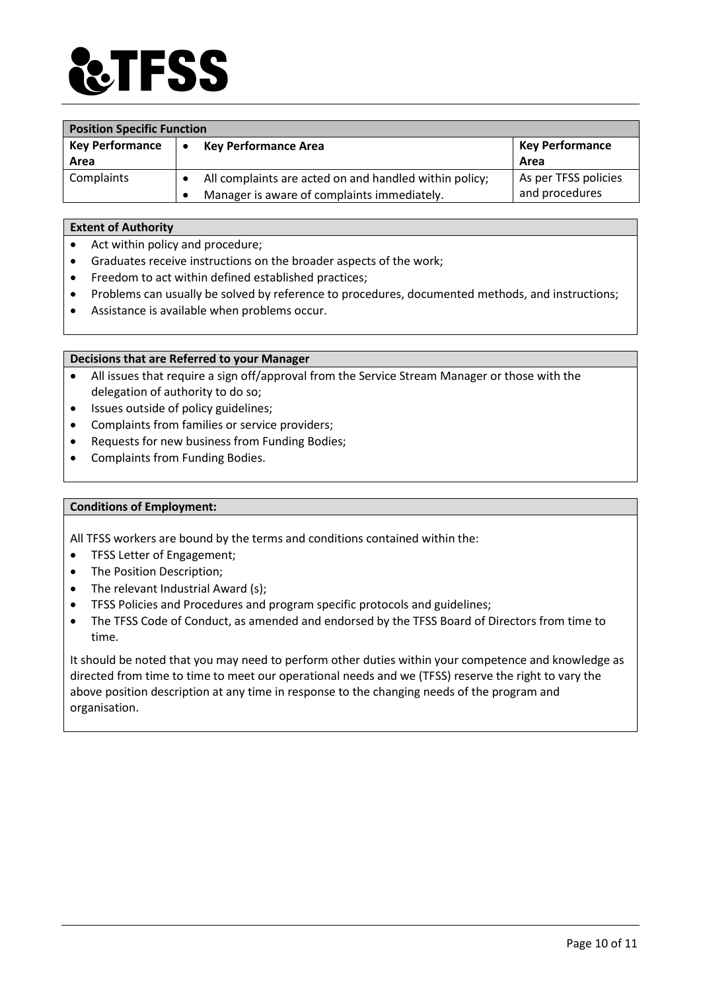

| <b>Position Specific Function</b> |                                                        |                        |
|-----------------------------------|--------------------------------------------------------|------------------------|
| <b>Key Performance</b>            | <b>Key Performance Area</b>                            | <b>Key Performance</b> |
| Area                              |                                                        | Area                   |
| Complaints                        | All complaints are acted on and handled within policy; | As per TFSS policies   |
|                                   | Manager is aware of complaints immediately.            | and procedures         |

#### **Extent of Authority**

- Act within policy and procedure;
- Graduates receive instructions on the broader aspects of the work;
- Freedom to act within defined established practices;
- Problems can usually be solved by reference to procedures, documented methods, and instructions;
- Assistance is available when problems occur.

# **Decisions that are Referred to your Manager**

- All issues that require a sign off/approval from the Service Stream Manager or those with the delegation of authority to do so;
- Issues outside of policy guidelines;
- Complaints from families or service providers;
- Requests for new business from Funding Bodies;
- Complaints from Funding Bodies.

# **Conditions of Employment:**

All TFSS workers are bound by the terms and conditions contained within the:

- TFSS Letter of Engagement;
- The Position Description;
- The relevant Industrial Award (s);
- TFSS Policies and Procedures and program specific protocols and guidelines;
- The TFSS Code of Conduct, as amended and endorsed by the TFSS Board of Directors from time to time.

It should be noted that you may need to perform other duties within your competence and knowledge as directed from time to time to meet our operational needs and we (TFSS) reserve the right to vary the above position description at any time in response to the changing needs of the program and organisation.